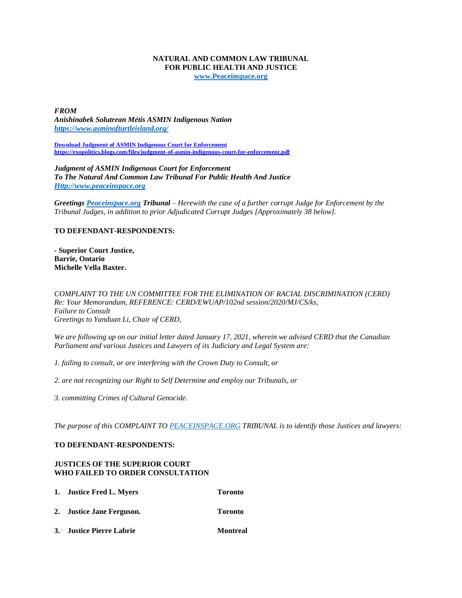### **NATURAL AND COMMON LAW TRIBUNAL FOR PUBLIC HEALTH AND JUSTICE [www.Peaceinspace.org](http://www.peaceinspace.org/)**

#### *FROM*

*Anishinabek Solutrean Métis ASMIN Indigenous Nation <https://www.asminofturtleisland.org/>*

**[Download Judgment of ASMIN Indigenous Court for Enforcement](https://exopolitics.blogs.com/files/judgment-of-asmin-indigenous-court-for-enforcement.pdf) <https://exopolitics.blogs.com/files/judgment-of-asmin-indigenous-court-for-enforcement.pdf>**

*Judgment of ASMIN Indigenous Court for Enforcement To The Natural And Common Law Tribunal For Public Health And Justice [Http://www.peaceinspace.org](http://www.peaceinspace.org/)*

*Greeting[s Peaceinspace.org](http://www.peaceinspace.org/) Tribunal – Herewith the case of a further corrupt Judge for Enforcement by the Tribunal Judges, in addition to prior Adjudicated Corrupt Judges [Approximately 38 below].*

#### **TO DEFENDANT-RESPONDENTS:**

**- Superior Court Justice, Barrie, Ontario Michelle Vella Baxter.** 

*COMPLAINT TO THE UN COMMITTEE FOR THE ELIMINATION OF RACIAL DISCRIMINATION (CERD) Re: Your Memorandum, REFERENCE: CERD/EWUAP/102nd session/2020/MJ/CS/ks, Failure to Consult Greetings to Yanduan Li, Chair of CERD,*

*We are following up on our initial letter dated January 17, 2021, wherein we advised CERD that the Canadian Parliament and various Justices and Lawyers of its Judiciary and Legal System are:*

*1. failing to consult, or are interfering with the Crown Duty to Consult, or*

*2. are not recognizing our Right to Self Determine and employ our Tribunals, or*

*3. committing Crimes of Cultural Genocide.*

*The purpose of this COMPLAINT TO [PEACEINSPACE.ORG](http://www.peaceinspace.org/) TRIBUNAL is to identify those Justices and lawyers:*

## **TO DEFENDANT-RESPONDENTS:**

## **JUSTICES OF THE SUPERIOR COURT WHO FAILED TO ORDER CONSULTATION**

| 1. Justice Fred L. Myers  | <b>Toronto</b>  |
|---------------------------|-----------------|
| 2. Justice Jane Ferguson. | <b>Toronto</b>  |
| 3. Justice Pierre Labrie  | <b>Montreal</b> |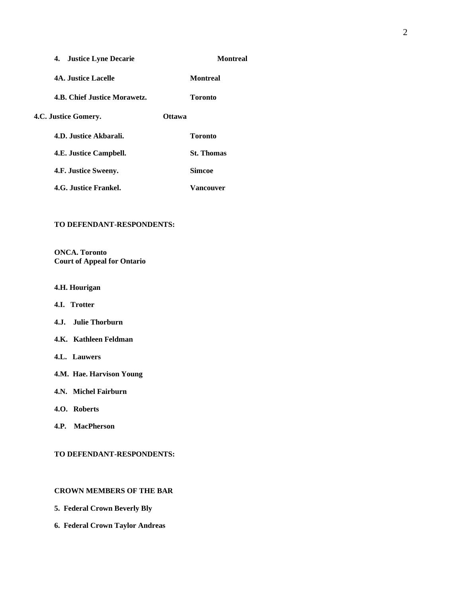| 4. Justice Lyne Decarie             | <b>Montreal</b>   |
|-------------------------------------|-------------------|
| <b>4A. Justice Lacelle</b>          | <b>Montreal</b>   |
| <b>4.B. Chief Justice Morawetz.</b> | <b>Toronto</b>    |
| 4.C. Justice Gomery.                | <b>Ottawa</b>     |
| 4.D. Justice Akbarali.              | <b>Toronto</b>    |
| 4.E. Justice Campbell.              | <b>St. Thomas</b> |
| 4.F. Justice Sweeny.                | <b>Simcoe</b>     |
| 4.G. Justice Frankel.               | Vancouver         |

# **TO DEFENDANT-RESPONDENTS:**

**ONCA. Toronto Court of Appeal for Ontario**

- **4.H. Hourigan**
- **4.I. Trotter**
- **4.J. Julie Thorburn**
- **4.K. Kathleen Feldman**
- **4.L. Lauwers**
- **4.M. Hae. Harvison Young**
- **4.N. Michel Fairburn**
- **4.O. Roberts**
- **4.P. MacPherson**

**TO DEFENDANT-RESPONDENTS:**

# **CROWN MEMBERS OF THE BAR**

- **5. Federal Crown Beverly Bly**
- **6. Federal Crown Taylor Andreas**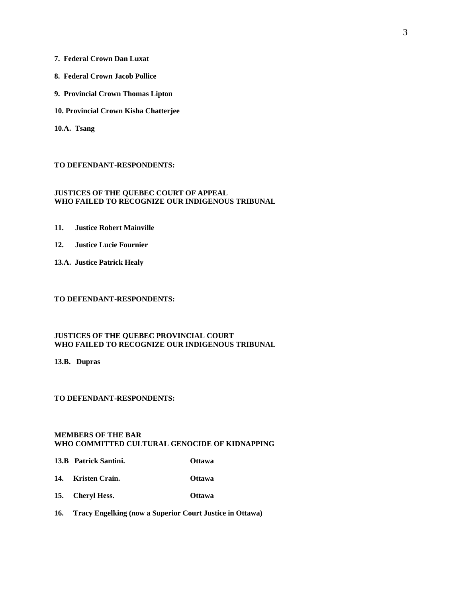- **7. Federal Crown Dan Luxat**
- **8. Federal Crown Jacob Pollice**
- **9. Provincial Crown Thomas Lipton**
- **10. Provincial Crown Kisha Chatterjee**

**10.A. Tsang** 

### **TO DEFENDANT-RESPONDENTS:**

### **JUSTICES OF THE QUEBEC COURT OF APPEAL WHO FAILED TO RECOGNIZE OUR INDIGENOUS TRIBUNAL**

- **11. Justice Robert Mainville**
- **12. Justice Lucie Fournier**
- **13.A. Justice Patrick Healy**

### **TO DEFENDANT-RESPONDENTS:**

## **JUSTICES OF THE QUEBEC PROVINCIAL COURT WHO FAILED TO RECOGNIZE OUR INDIGENOUS TRIBUNAL**

**13.B. Dupras** 

## **TO DEFENDANT-RESPONDENTS:**

### **MEMBERS OF THE BAR WHO COMMITTED CULTURAL GENOCIDE OF KIDNAPPING**

- **13.B Patrick Santini. Ottawa**
- **14. Kristen Crain. Ottawa**
- **15. Cheryl Hess. Ottawa**
- **16. Tracy Engelking (now a Superior Court Justice in Ottawa)**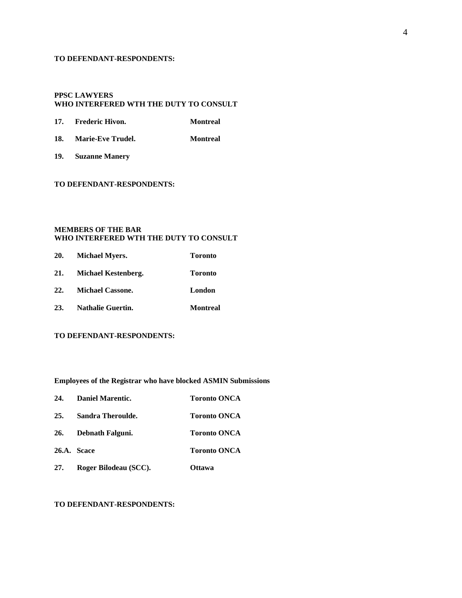## **TO DEFENDANT-RESPONDENTS:**

### **PPSC LAWYERS WHO INTERFERED WTH THE DUTY TO CONSULT**

- **17. Frederic Hivon. Montreal**
- 18. Marie-Eve Trudel. **Montreal**
- **19. Suzanne Manery**

### **TO DEFENDANT-RESPONDENTS:**

### **MEMBERS OF THE BAR WHO INTERFERED WTH THE DUTY TO CONSULT**

| 20.        | <b>Michael Myers.</b>    | <b>Toronto</b>  |
|------------|--------------------------|-----------------|
| 21.        | Michael Kestenberg.      | <b>Toronto</b>  |
| 22.        | <b>Michael Cassone.</b>  | London          |
| <b>23.</b> | <b>Nathalie Guertin.</b> | <b>Montreal</b> |

#### **TO DEFENDANT-RESPONDENTS:**

### **Employees of the Registrar who have blocked ASMIN Submissions**

| 24. | <b>Daniel Marentic.</b> | <b>Toronto ONCA</b> |
|-----|-------------------------|---------------------|
| 25. | Sandra Theroulde.       | <b>Toronto ONCA</b> |
| 26. | Debnath Falguni.        | <b>Toronto ONCA</b> |
|     | <b>26.A. Scace</b>      | <b>Toronto ONCA</b> |
| 27. | Roger Bilodeau (SCC).   | <b>Ottawa</b>       |

# **TO DEFENDANT-RESPONDENTS:**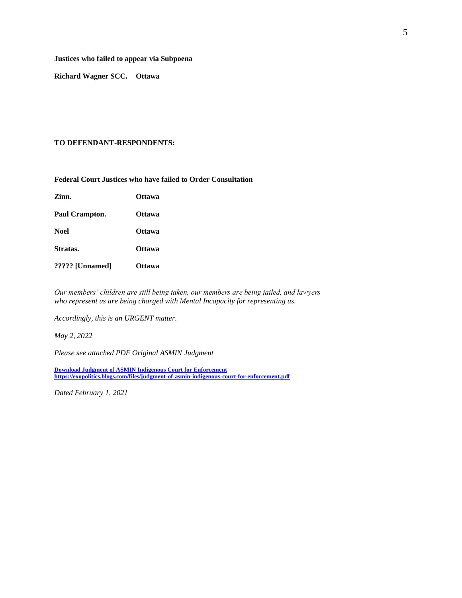**Justices who failed to appear via Subpoena** 

**Richard Wagner SCC. Ottawa**

### **TO DEFENDANT-RESPONDENTS:**

**Federal Court Justices who have failed to Order Consultation**

| Zinn.           | Ottawa        |
|-----------------|---------------|
| Paul Crampton.  | <b>Ottawa</b> |
| <b>Noel</b>     | <b>Ottawa</b> |
| Stratas.        | Ottawa        |
| ????? [Unnamed] | Ottawa        |

*Our members' children are still being taken, our members are being jailed, and lawyers who represent us are being charged with Mental Incapacity for representing us.*

*Accordingly, this is an URGENT matter.* 

*May 2, 2022*

*Please see attached PDF Original ASMIN Judgment*

**[Download Judgment of ASMIN Indigenous Court for Enforcement](https://exopolitics.blogs.com/files/judgment-of-asmin-indigenous-court-for-enforcement.pdf) <https://exopolitics.blogs.com/files/judgment-of-asmin-indigenous-court-for-enforcement.pdf>**

*Dated February 1, 2021*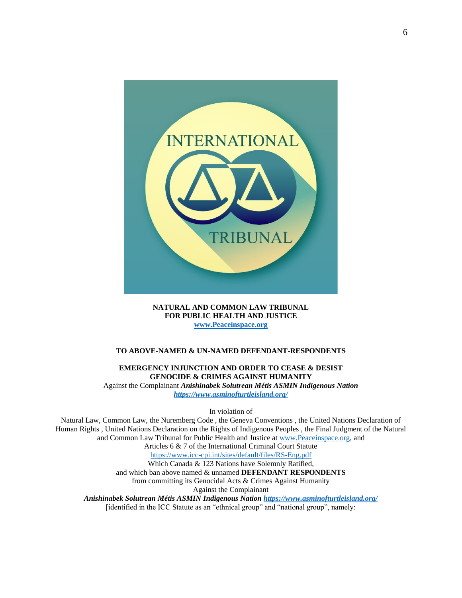

### **NATURAL AND COMMON LAW TRIBUNAL FOR PUBLIC HEALTH AND JUSTICE [www.Peaceinspace.org](http://www.peaceinspace.org/)**

## **TO ABOVE-NAMED & UN-NAMED DEFENDANT-RESPONDENTS**

**EMERGENCY INJUNCTION AND ORDER TO CEASE & DESIST GENOCIDE & CRIMES AGAINST HUMANITY** Against the Complainant *Anishinabek Solutrean Métis ASMIN Indigenous Nation <https://www.asminofturtleisland.org/>*

In violation of

Natural Law, Common Law, the Nuremberg Code , the Geneva Conventions , the United Nations Declaration of Human Rights , United Nations Declaration on the Rights of Indigenous Peoples , the Final Judgment of the Natural and Common Law Tribunal for Public Health and Justice at [www.Peaceinspace.org,](http://www.peaceinspace.org/) and Articles 6 & 7 of the International Criminal Court Statute <https://www.icc-cpi.int/sites/default/files/RS-Eng.pdf> Which Canada & 123 Nations have Solemnly Ratified, and which ban above named & unnamed **DEFENDANT RESPONDENTS** from committing its Genocidal Acts & Crimes Against Humanity Against the Complainant *Anishinabek Solutrean Métis ASMIN Indigenous Nation <https://www.asminofturtleisland.org/>* [identified in the ICC Statute as an "ethnical group" and "national group", namely: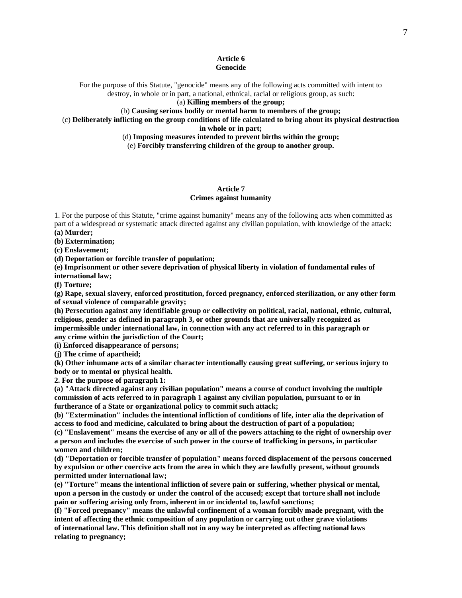## **Article 6 Genocide**

For the purpose of this Statute, "genocide" means any of the following acts committed with intent to destroy, in whole or in part, a national, ethnical, racial or religious group, as such:

(a) **Killing members of the group;**

(b) **Causing serious bodily or mental harm to members of the group;**

(c) **Deliberately inflicting on the group conditions of life calculated to bring about its physical destruction**

**in whole or in part;**

(d) **Imposing measures intended to prevent births within the group;**

(e) **Forcibly transferring children of the group to another group.**

# **Article 7**

#### **Crimes against humanity**

1. For the purpose of this Statute, "crime against humanity" means any of the following acts when committed as part of a widespread or systematic attack directed against any civilian population, with knowledge of the attack: **(a) Murder;**

**(b) Extermination;**

**(c) Enslavement;**

**(d) Deportation or forcible transfer of population;**

**(e) Imprisonment or other severe deprivation of physical liberty in violation of fundamental rules of international law;**

**(f) Torture;**

**(g) Rape, sexual slavery, enforced prostitution, forced pregnancy, enforced sterilization, or any other form of sexual violence of comparable gravity;**

**(h) Persecution against any identifiable group or collectivity on political, racial, national, ethnic, cultural, religious, gender as defined in paragraph 3, or other grounds that are universally recognized as**

**impermissible under international law, in connection with any act referred to in this paragraph or any crime within the jurisdiction of the Court;**

**(i) Enforced disappearance of persons;**

**(j) The crime of apartheid;**

**(k) Other inhumane acts of a similar character intentionally causing great suffering, or serious injury to body or to mental or physical health.**

**2. For the purpose of paragraph 1:**

**(a) "Attack directed against any civilian population" means a course of conduct involving the multiple commission of acts referred to in paragraph 1 against any civilian population, pursuant to or in furtherance of a State or organizational policy to commit such attack;**

**(b) "Extermination" includes the intentional infliction of conditions of life, inter alia the deprivation of access to food and medicine, calculated to bring about the destruction of part of a population;**

**(c) "Enslavement" means the exercise of any or all of the powers attaching to the right of ownership over a person and includes the exercise of such power in the course of trafficking in persons, in particular women and children;**

**(d) "Deportation or forcible transfer of population" means forced displacement of the persons concerned by expulsion or other coercive acts from the area in which they are lawfully present, without grounds permitted under international law;**

**(e) "Torture" means the intentional infliction of severe pain or suffering, whether physical or mental, upon a person in the custody or under the control of the accused; except that torture shall not include pain or suffering arising only from, inherent in or incidental to, lawful sanctions;**

**(f) "Forced pregnancy" means the unlawful confinement of a woman forcibly made pregnant, with the intent of affecting the ethnic composition of any population or carrying out other grave violations of international law. This definition shall not in any way be interpreted as affecting national laws relating to pregnancy;**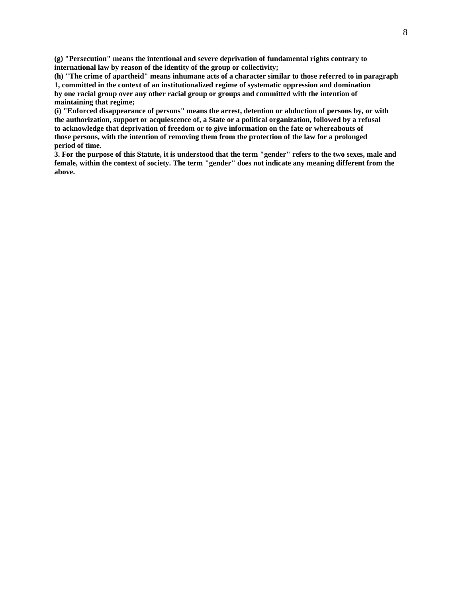**(g) "Persecution" means the intentional and severe deprivation of fundamental rights contrary to international law by reason of the identity of the group or collectivity;**

**(h) "The crime of apartheid" means inhumane acts of a character similar to those referred to in paragraph 1, committed in the context of an institutionalized regime of systematic oppression and domination by one racial group over any other racial group or groups and committed with the intention of maintaining that regime;**

**(i) "Enforced disappearance of persons" means the arrest, detention or abduction of persons by, or with the authorization, support or acquiescence of, a State or a political organization, followed by a refusal to acknowledge that deprivation of freedom or to give information on the fate or whereabouts of those persons, with the intention of removing them from the protection of the law for a prolonged period of time.**

**3. For the purpose of this Statute, it is understood that the term "gender" refers to the two sexes, male and female, within the context of society. The term "gender" does not indicate any meaning different from the above.**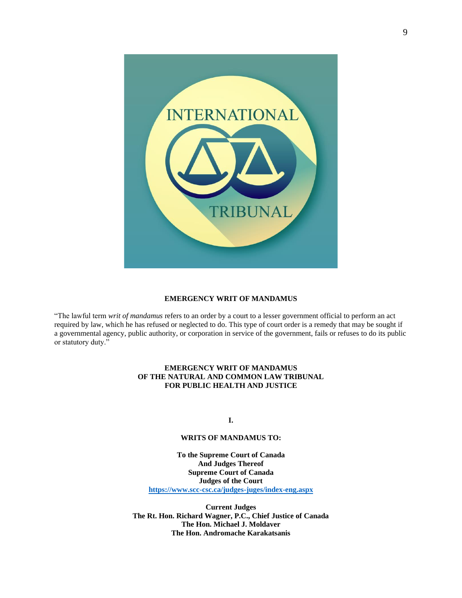

### **EMERGENCY WRIT OF MANDAMUS**

"The lawful term *writ of mandamus* refers to an order by a court to a lesser government official to perform an act required by law, which he has refused or neglected to do. This type of court order is a remedy that may be sought if a governmental agency, public authority, or [corporation](https://legaldictionary.net/corporation/) in service of the government, fails or refuses to do its public or statutory duty."

### **EMERGENCY WRIT OF MANDAMUS OF THE NATURAL AND COMMON LAW TRIBUNAL FOR PUBLIC HEALTH AND JUSTICE**

**I.**

## **WRITS OF MANDAMUS TO:**

**To the Supreme Court of Canada And Judges Thereof Supreme Court of Canada Judges of the Court <https://www.scc-csc.ca/judges-juges/index-eng.aspx>**

**Current Judges The Rt. Hon. Richard Wagner, P.C., Chief Justice of Canada The Hon. Michael J. Moldaver The Hon. Andromache Karakatsanis**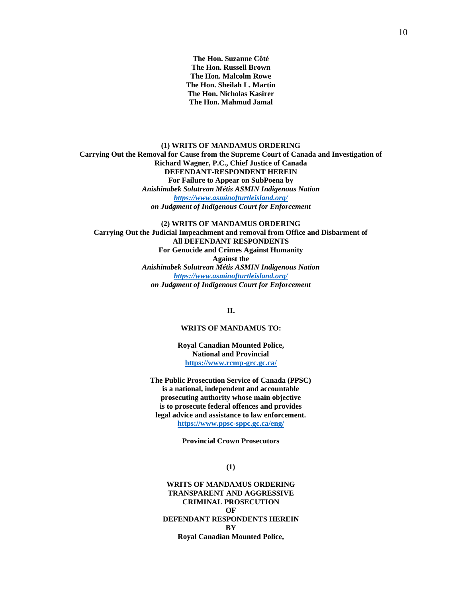**The Hon. Suzanne Côté The Hon. Russell Brown The Hon. Malcolm Rowe The Hon. Sheilah L. Martin The Hon. Nicholas Kasirer The Hon. Mahmud Jamal**

### **(1) WRITS OF MANDAMUS ORDERING Carrying Out the Removal for Cause from the Supreme Court of Canada and Investigation of Richard Wagner, P.C., Chief Justice of Canada DEFENDANT-RESPONDENT HEREIN For Failure to Appear on SubPoena by** *Anishinabek Solutrean Métis ASMIN Indigenous Nation <https://www.asminofturtleisland.org/> on Judgment of Indigenous Court for Enforcement*

**(2) WRITS OF MANDAMUS ORDERING Carrying Out the Judicial Impeachment and removal from Office and Disbarment of All DEFENDANT RESPONDENTS For Genocide and Crimes Against Humanity Against the**  *Anishinabek Solutrean Métis ASMIN Indigenous Nation <https://www.asminofturtleisland.org/> on Judgment of Indigenous Court for Enforcement*

**II.**

### **WRITS OF MANDAMUS TO:**

**Royal Canadian Mounted Police, National and Provincial <https://www.rcmp-grc.gc.ca/>**

**The Public Prosecution Service of Canada (PPSC) is a national, independent and accountable prosecuting authority whose main objective is to prosecute federal offences and provides legal advice and assistance to law enforcement. <https://www.ppsc-sppc.gc.ca/eng/>**

**Provincial Crown Prosecutors**

**(1)**

**WRITS OF MANDAMUS ORDERING TRANSPARENT AND AGGRESSIVE CRIMINAL PROSECUTION OF DEFENDANT RESPONDENTS HEREIN BY Royal Canadian Mounted Police,**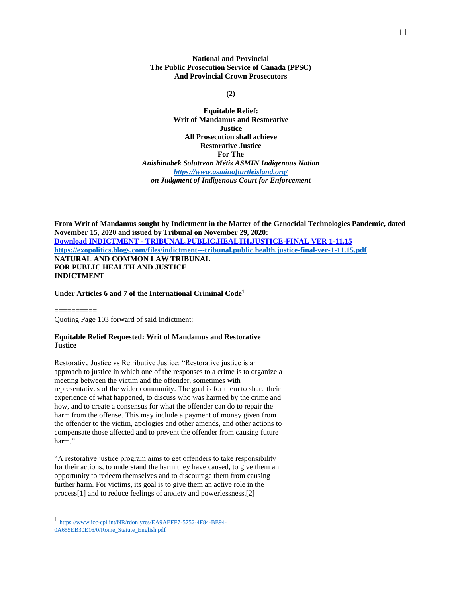**National and Provincial The Public Prosecution Service of Canada (PPSC) And Provincial Crown Prosecutors**

**(2)**

**Equitable Relief: Writ of Mandamus and Restorative Justice All Prosecution shall achieve Restorative Justice For The**  *Anishinabek Solutrean Métis ASMIN Indigenous Nation <https://www.asminofturtleisland.org/> on Judgment of Indigenous Court for Enforcement*

**From Writ of Mandamus sought by Indictment in the Matter of the Genocidal Technologies Pandemic, dated November 15, 2020 and issued by Tribunal on November 29, 2020: Download INDICTMENT - [TRIBUNAL.PUBLIC.HEALTH.JUSTICE-FINAL VER 1-11.15](https://exopolitics.blogs.com/files/indictment---tribunal.public.health.justice-final-ver-1-11.15.pdf) <https://exopolitics.blogs.com/files/indictment---tribunal.public.health.justice-final-ver-1-11.15.pdf> NATURAL AND COMMON LAW TRIBUNAL FOR PUBLIC HEALTH AND JUSTICE INDICTMENT**

**Under Articles 6 and 7 of the International Criminal Code<sup>1</sup>**

Quoting Page 103 forward of said Indictment:

==========

### **Equitable Relief Requested: Writ of Mandamus and Restorative Justice**

Restorative Justice vs Retributive Justice: "Restorative justice is an approach to justice in which one of the responses to a crime is to organize a meeting between the victim and the offender, sometimes with representatives of the wider community. The goal is for them to share their experience of what happened, to discuss who was harmed by the crime and how, and to create a consensus for what the offender can do to repair the harm from the offense. This may include a payment of money given from the offender to the victim, apologies and other amends, and other actions to compensate those affected and to prevent the offender from causing future harm."

"A restorative justice program aims to get offenders to take responsibility for their actions, to understand the harm they have caused, to give them an opportunity to redeem themselves and to discourage them from causing further harm. For victims, its goal is to give them an active role in the process[1] and to reduce feelings of anxiety and powerlessness.[2]

<sup>1</sup> [https://www.icc-cpi.int/NR/rdonlyres/EA9AEFF7-5752-4F84-BE94-](https://www.icc-cpi.int/NR/rdonlyres/EA9AEFF7-5752-4F84-BE94-%20%200A655EB30E16/0/Rome_Statute_English.pdf) [0A655EB30E16/0/Rome\\_Statute\\_English.pdf](https://www.icc-cpi.int/NR/rdonlyres/EA9AEFF7-5752-4F84-BE94-%20%200A655EB30E16/0/Rome_Statute_English.pdf)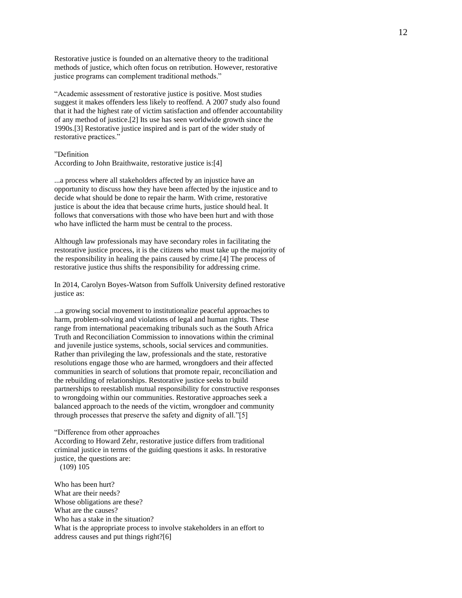Restorative justice is founded on an alternative theory to the traditional methods of justice, which often focus on retribution. However, restorative justice programs can complement traditional methods."

"Academic assessment of restorative justice is positive. Most studies suggest it makes offenders less likely to reoffend. A 2007 study also found that it had the highest rate of victim satisfaction and offender accountability of any method of justice.[2] Its use has seen worldwide growth since the 1990s.[3] Restorative justice inspired and is part of the wider study of restorative practices."

"Definition

According to John Braithwaite, restorative justice is:[4]

...a process where all stakeholders affected by an injustice have an opportunity to discuss how they have been affected by the injustice and to decide what should be done to repair the harm. With crime, restorative justice is about the idea that because crime hurts, justice should heal. It follows that conversations with those who have been hurt and with those who have inflicted the harm must be central to the process.

Although law professionals may have secondary roles in facilitating the restorative justice process, it is the citizens who must take up the majority of the responsibility in healing the pains caused by crime.[4] The process of restorative justice thus shifts the responsibility for addressing crime.

In 2014, Carolyn Boyes-Watson from Suffolk University defined restorative justice as:

...a growing social movement to institutionalize peaceful approaches to harm, problem-solving and violations of legal and human rights. These range from international peacemaking tribunals such as the South Africa Truth and Reconciliation Commission to innovations within the criminal and juvenile justice systems, schools, social services and communities. Rather than privileging the law, professionals and the state, restorative resolutions engage those who are harmed, wrongdoers and their affected communities in search of solutions that promote repair, reconciliation and the rebuilding of relationships. Restorative justice seeks to build partnerships to reestablish mutual responsibility for constructive responses to wrongdoing within our communities. Restorative approaches seek a balanced approach to the needs of the victim, wrongdoer and community through processes that preserve the safety and dignity of all."[5]

#### "Difference from other approaches

According to Howard Zehr, restorative justice differs from traditional criminal justice in terms of the guiding questions it asks. In restorative justice, the questions are:

(109) 105

Who has been hurt? What are their needs? Whose obligations are these? What are the causes? Who has a stake in the situation? What is the appropriate process to involve stakeholders in an effort to address causes and put things right?[6]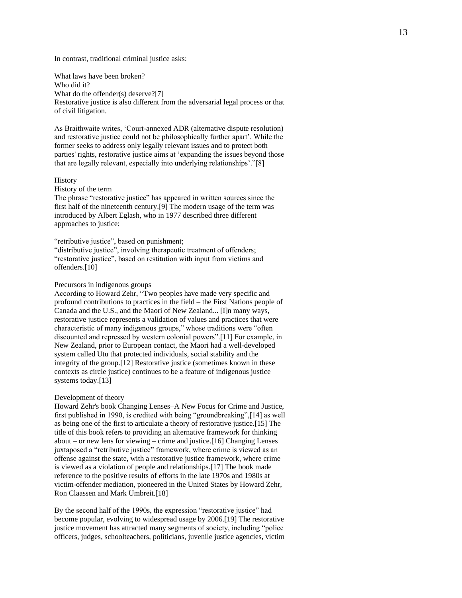In contrast, traditional criminal justice asks:

What laws have been broken? Who did it? What do the offender(s) deserve?[7] Restorative justice is also different from the adversarial legal process or that of civil litigation.

As Braithwaite writes, 'Court-annexed ADR (alternative dispute resolution) and restorative justice could not be philosophically further apart'. While the former seeks to address only legally relevant issues and to protect both parties' rights, restorative justice aims at 'expanding the issues beyond those that are legally relevant, especially into underlying relationships'."[8]

#### **History**

History of the term

The phrase "restorative justice" has appeared in written sources since the first half of the nineteenth century.[9] The modern usage of the term was introduced by Albert Eglash, who in 1977 described three different approaches to justice:

"retributive justice", based on punishment;

"distributive justice", involving therapeutic treatment of offenders; "restorative justice", based on restitution with input from victims and offenders.[10]

#### Precursors in indigenous groups

According to Howard Zehr, "Two peoples have made very specific and profound contributions to practices in the field – the First Nations people of Canada and the U.S., and the Maori of New Zealand... [I]n many ways, restorative justice represents a validation of values and practices that were characteristic of many indigenous groups," whose traditions were "often discounted and repressed by western colonial powers".[11] For example, in New Zealand, prior to European contact, the Maori had a well-developed system called Utu that protected individuals, social stability and the integrity of the group.[12] Restorative justice (sometimes known in these contexts as circle justice) continues to be a feature of indigenous justice systems today.[13]

#### Development of theory

Howard Zehr's book Changing Lenses–A New Focus for Crime and Justice, first published in 1990, is credited with being "groundbreaking",[14] as well as being one of the first to articulate a theory of restorative justice.[15] The title of this book refers to providing an alternative framework for thinking about – or new lens for viewing – crime and justice.[16] Changing Lenses juxtaposed a "retributive justice" framework, where crime is viewed as an offense against the state, with a restorative justice framework, where crime is viewed as a violation of people and relationships.[17] The book made reference to the positive results of efforts in the late 1970s and 1980s at victim-offender mediation, pioneered in the United States by Howard Zehr, Ron Claassen and Mark Umbreit.[18]

By the second half of the 1990s, the expression "restorative justice" had become popular, evolving to widespread usage by 2006.[19] The restorative justice movement has attracted many segments of society, including "police officers, judges, schoolteachers, politicians, juvenile justice agencies, victim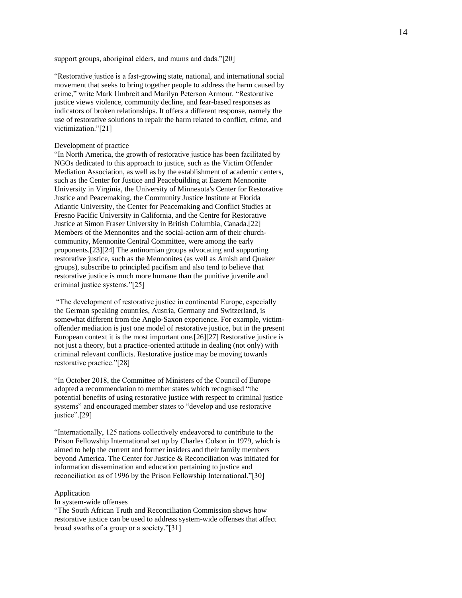support groups, aboriginal elders, and mums and dads."[20]

"Restorative justice is a fast-growing state, national, and international social movement that seeks to bring together people to address the harm caused by crime," write Mark Umbreit and Marilyn Peterson Armour. "Restorative justice views violence, community decline, and fear-based responses as indicators of broken relationships. It offers a different response, namely the use of restorative solutions to repair the harm related to conflict, crime, and victimization."[21]

#### Development of practice

"In North America, the growth of restorative justice has been facilitated by NGOs dedicated to this approach to justice, such as the Victim Offender Mediation Association, as well as by the establishment of academic centers, such as the Center for Justice and Peacebuilding at Eastern Mennonite University in Virginia, the University of Minnesota's Center for Restorative Justice and Peacemaking, the Community Justice Institute at Florida Atlantic University, the Center for Peacemaking and Conflict Studies at Fresno Pacific University in California, and the Centre for Restorative Justice at Simon Fraser University in British Columbia, Canada.[22] Members of the Mennonites and the social-action arm of their churchcommunity, Mennonite Central Committee, were among the early proponents.[23][24] The antinomian groups advocating and supporting restorative justice, such as the Mennonites (as well as Amish and Quaker groups), subscribe to principled pacifism and also tend to believe that restorative justice is much more humane than the punitive juvenile and criminal justice systems."[25]

"The development of restorative justice in continental Europe, especially the German speaking countries, Austria, Germany and Switzerland, is somewhat different from the Anglo-Saxon experience. For example, victimoffender mediation is just one model of restorative justice, but in the present European context it is the most important one.[26][27] Restorative justice is not just a theory, but a practice-oriented attitude in dealing (not only) with criminal relevant conflicts. Restorative justice may be moving towards restorative practice."[28]

"In October 2018, the Committee of Ministers of the Council of Europe adopted a recommendation to member states which recognised "the potential benefits of using restorative justice with respect to criminal justice systems" and encouraged member states to "develop and use restorative justice".[29]

"Internationally, 125 nations collectively endeavored to contribute to the Prison Fellowship International set up by Charles Colson in 1979, which is aimed to help the current and former insiders and their family members beyond America. The Center for Justice & Reconciliation was initiated for information dissemination and education pertaining to justice and reconciliation as of 1996 by the Prison Fellowship International."[30]

#### Application

In system-wide offenses

"The South African Truth and Reconciliation Commission shows how restorative justice can be used to address system-wide offenses that affect broad swaths of a group or a society."[31]